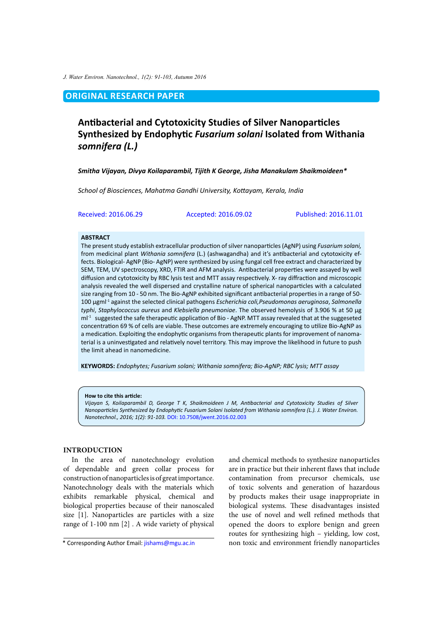*J. Water Environ. Nanotechnol., 1(2): 91-103, Autumn 2016*

# **ORIGINAL RESEARCH PAPER**

# **Antibacterial and Cytotoxicity Studies of Silver Nanoparticles Synthesized by Endophytic** *Fusarium solani* **Isolated from Withania**  *somnifera (L.)*

*Smitha Vijayan, Divya Koilaparambil, Tijith K George, Jisha Manakulam Shaikmoideen\**

*School of Biosciences, Mahatma Gandhi University, Kottayam, Kerala, India*

Received: 2016.06.29 Accepted: 2016.09.02 Published: 2016.11.01

#### **ABSTRACT**

The present study establish extracellular production of silver nanoparticles (AgNP) using *Fusarium solani,*  from medicinal plant *Withania somnifera* (L.) (ashwagandha) and it's antibacterial and cytotoxicity effects. Biological- AgNP (Bio- AgNP) were synthesized by using fungal cell free extract and characterized by SEM, TEM, UV spectroscopy, XRD, FTIR and AFM analysis. Antibacterial properties were assayed by well diffusion and cytotoxicity by RBC lysis test and MTT assay respectively. X- ray diffraction and microscopic analysis revealed the well dispersed and crystalline nature of spherical nanoparticles with a calculated size ranging from 10 - 50 nm. The Bio-AgNP exhibited significant antibacterial properties in a range of 50- 100 µgml-1 against the selected clinical pathogens *Escherichia coli,Pseudomonas aeruginosa*, *Salmonella typhi*, *Staphylococcus aureus* and *Klebsiella pneumoniae*. The observed hemolysis of 3.906 % at 50 µg  $ml^{-1}$  suggested the safe therapeutic application of Bio - AgNP. MTT assay revealed that at the suggeseted concentration 69 % of cells are viable. These outcomes are extremely encouraging to utilize Bio-AgNP as a medication. Exploiting the endophytic organisms from therapeutic plants for improvement of nanomaterial is a uninvestigated and relatively novel territory. This may improve the likelihood in future to push the limit ahead in nanomedicine.

**KEYWORDS:** *Endophytes; Fusarium solani; Withania somnifera; Bio-AgNP; RBC lysis; MTT assay*

#### **How to cite this article:**

*Vijayan S, Koilaparambil D, George T K, Shaikmoideen J M, Antibacterial and Cytotoxicity Studies of Silver Nanoparticles Synthesized by Endophytic Fusarium Solani Isolated from Withania somnifera (L.). J. Water Environ. Nanotechnol., 2016; 1(2): 91-103.* DOI: [10.7508/jwent.2016.02.003](https://dx.doi.org/10.7508/jwent.2016.02.003)

### **INTRODUCTION**

In the area of nanotechnology evolution of dependable and green collar process for construction of nanoparticles is of great importance. Nanotechnology deals with the materials which exhibits remarkable physical, chemical and biological properties because of their nanoscaled size [1]. Nanoparticles are particles with a size range of 1-100 nm [2] . A wide variety of physical and chemical methods to synthesize nanoparticles are in practice but their inherent flaws that include contamination from precursor chemicals, use of toxic solvents and generation of hazardous by products makes their usage inappropriate in biological systems. These disadvantages insisted the use of novel and well refined methods that opened the doors to explore benign and green routes for synthesizing high – yielding, low cost, non toxic and environment friendly nanoparticles

<sup>\*</sup> Corresponding Author Email: [jishams@mgu.ac.in](mailto:jishams@mgu.ac.in)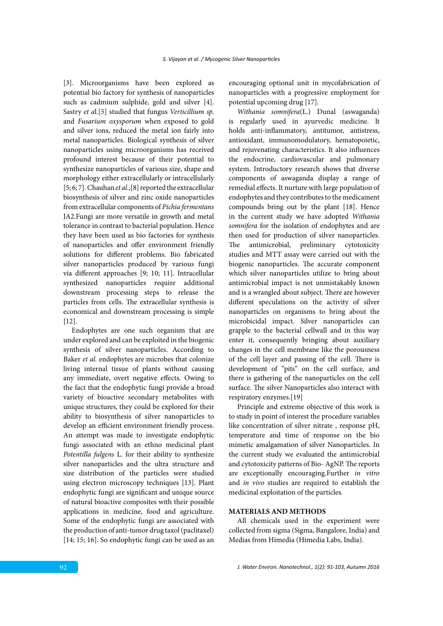[3]. Microorganisms have been explored as potential bio factory for synthesis of nanoparticles such as cadmium sulphide, gold and silver [4]. Sastry *et a*l.[5] studied that fungus *Verticillium sp.*  and *Fusarium oxysporum* when exposed to gold and silver ions, reduced the metal ion fairly into metal nanoparticles. Biological synthesis of silver nanoparticles using microorganisms has received profound interest because of their potential to synthesize nanoparticles of various size, shape and morphology either extracellularly or intracellularly [5; 6; 7]. Chauhan *et al*.,[8] reported the extracellular biosynthesis of silver and zinc oxide nanoparticles from extracellular components of *Pichia fermentans* JA2.Fungi are more versatile in growth and metal tolerance in contrast to bacterial population. Hence they have been used as bio factories for synthesis of nanoparticles and offer environment friendly solutions for different problems. Bio fabricated silver nanoparticles produced by various fungi via different approaches [9; 10; 11]. Intracellular synthesized nanoparticles require additional downstream processing steps to release the particles from cells. The extracellular synthesis is economical and downstream processing is simple [12].

Endophytes are one such organism that are under explored and can be exploited in the biogenic synthesis of silver nanoparticles. According to Baker *et al.* endophytes are microbes that colonize living internal tissue of plants without causing any immediate, overt negative effects. Owing to the fact that the endophytic fungi provide a broad variety of bioactive secondary metabolites with unique structures, they could be explored for their ability to biosynthesis of silver nanoparticles to develop an efficient environment friendly process. An attempt was made to investigate endophytic fungi associated with an ethno medicinal plant *Potentilla fulgens* L. for their ability to synthesize silver nanoparticles and the ultra structure and size distribution of the particles were studied using electron microscopy techniques [13]. Plant endophytic fungi are significant and unique source of natural bioactive composites with their possible applications in medicine, food and agriculture. Some of the endophytic fungi are associated with the production of anti-tumor drug taxol (paclitaxel) [14; 15; 16]. So endophytic fungi can be used as an

encouraging optional unit in mycofabrication of nanoparticles with a progressive employment for potential upcoming drug [17].

*Withania somnifera*(L.) Dunal (aswaganda) is regularly used in ayurvedic medicine. It holds anti-inflammatory, antitumor, antistress, antioxidant, immunomodulatory, hematopoietic, and rejuvenating characteristics. It also influences the endocrine, cardiovascular and pulmonary system. Introductory research shows that diverse components of aswaganda display a range of remedial effects. It nurture with large population of endophytes and they contributes to the medicament compounds bring out by the plant [18]. Hence in the current study we have adopted *Withania somnifera* for the isolation of endophytes and are then used for production of silver nanoparticles. The antimicrobial, preliminary cytotoxicity studies and MTT assay were carried out with the biogenic nanoparticles. The accurate component which silver nanoparticles utilize to bring about antimicrobial impact is not unmistakably known and is a wrangled about subject. There are however different speculations on the activity of silver nanoparticles on organisms to bring about the microbicidal impact. Silver nanoparticles can grapple to the bacterial cellwall and in this way enter it, consequently bringing about auxiliary changes in the cell membrane like the porousness of the cell layer and passing of the cell. There is development of "pits" on the cell surface, and there is gathering of the nanoparticles on the cell surface. The silver Nanoparticles also interact with respiratory enzymes.[19]

Principle and extreme objective of this work is to study in point of interest the procedure variables like concentration of silver nitrate , response pH, temperature and time of response on the bio mimetic amalgamation of silver Nanoparticles. In the current study we evaluated the antimicrobial and cytotoxicity patterns of Bio- AgNP. The reports are exceptionally encouraging.Further *in vitro* and *in vivo* studies are required to establish the medicinal exploitation of the particles.

# **MATERIALS AND METHODS**

All chemicals used in the experiment were collected from sigma (Sigma, Bangalore, India) and Medias from Himedia (Himedia Labs, India).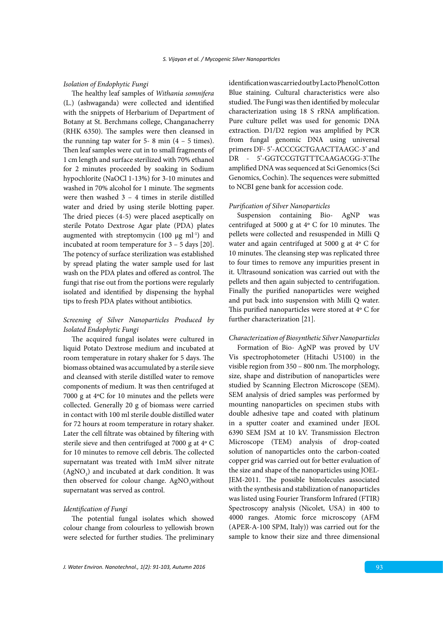### *Isolation of Endophytic Fungi*

The healthy leaf samples of *Withania somnifera*  (L.) (ashwaganda) were collected and identified with the snippets of Herbarium of Department of Botany at St. Berchmans college, Changanacherry (RHK 6350). The samples were then cleansed in the running tap water for  $5-8$  min  $(4 - 5)$  times). Then leaf samples were cut in to small fragments of 1 cm length and surface sterilized with 70% ethanol for 2 minutes proceeded by soaking in Sodium hypochlorite (NaOCl 1-13%) for 3-10 minutes and washed in 70% alcohol for 1 minute. The segments were then washed 3 – 4 times in sterile distilled water and dried by using sterile blotting paper. The dried pieces (4-5) were placed aseptically on sterile Potato Dextrose Agar plate (PDA) plates augmented with streptomycin (100 μg ml-1) and incubated at room temperature for 3 – 5 days [20]. The potency of surface sterilization was established by spread plating the water sample used for last wash on the PDA plates and offered as control. The fungi that rise out from the portions were regularly isolated and identified by dispensing the hyphal tips to fresh PDA plates without antibiotics.

# *Screening of Silver Nanoparticles Produced by Isolated Endophytic Fungi*

The acquired fungal isolates were cultured in liquid Potato Dextrose medium and incubated at room temperature in rotary shaker for 5 days. The biomass obtained was accumulated by a sterile sieve and cleansed with sterile distilled water to remove components of medium. It was then centrifuged at 7000 g at 4ºC for 10 minutes and the pellets were collected. Generally 20 g of biomass were carried in contact with 100 ml sterile double distilled water for 72 hours at room temperature in rotary shaker. Later the cell filtrate was obtained by filtering with sterile sieve and then centrifuged at 7000 g at 4º C for 10 minutes to remove cell debris. The collected supernatant was treated with 1mM silver nitrate  $(AgNO<sub>3</sub>)$  and incubated at dark condition. It was then observed for colour change. AgNO<sub>3</sub> without supernatant was served as control.

# *Identification of Fungi*

The potential fungal isolates which showed colour change from colourless to yellowish brown were selected for further studies. The preliminary identification was carried out by Lacto Phenol Cotton Blue staining. Cultural characteristics were also studied. The Fungi was then identified by molecular characterization using 18 S rRNA amplification. Pure culture pellet was used for genomic DNA extraction. D1/D2 region was amplified by PCR from fungal genomic DNA using universal primers DF- 5'-ACCCGCTGAACTTAAGC-3' and DR - 5'-GGTCCGTGTTTCAAGACGG-3'.The amplified DNA was sequenced at Sci Genomics (Sci Genomics, Cochin). The sequences were submitted to NCBI gene bank for accession code.

### *Purification of Silver Nanoparticles*

Suspension containing Bio- AgNP was centrifuged at 5000 g at 4º C for 10 minutes. The pellets were collected and resuspended in Milli Q water and again centrifuged at 5000 g at 4º C for 10 minutes. The cleansing step was replicated three to four times to remove any impurities present in it. Ultrasound sonication was carried out with the pellets and then again subjected to centrifugation. Finally the purified nanoparticles were weighed and put back into suspension with Milli Q water. This purified nanoparticles were stored at 4º C for further characterization [21].

# *Characterization of Biosynthetic Silver Nanoparticles*

Formation of Bio- AgNP was proved by UV Vis spectrophotometer (Hitachi U5100) in the visible region from 350 – 800 nm. The morphology, size, shape and distribution of nanoparticles were studied by Scanning Electron Microscope (SEM). SEM analysis of dried samples was performed by mounting nanoparticles on specimen stubs with double adhesive tape and coated with platinum in a sputter coater and examined under JEOL 6390 SEM JSM at 10 kV. Transmission Electron Microscope (TEM) analysis of drop-coated solution of nanoparticles onto the carbon-coated copper grid was carried out for better evaluation of the size and shape of the nanoparticles using JOEL-JEM-2011. The possible bimolecules associated with the synthesis and stabilization of nanoparticles was listed using Fourier Transform Infrared (FTIR) Spectroscopy analysis (Nicolet, USA) in 400 to 4000 ranges. Atomic force microscopy (AFM (APER-A-100 SPM, Italy)) was carried out for the sample to know their size and three dimensional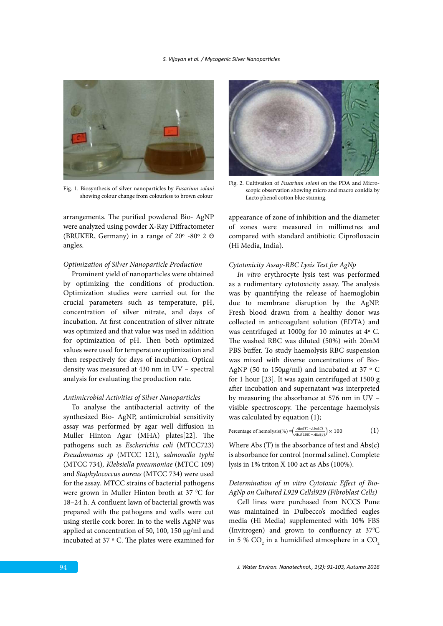

showing colour change from colourless to brown colour Fig. 1. Biosynthesis of silver nanoparticles by *Fusarium solani*

arrangements. The purified powdered Bio- AgNP were analyzed using powder X-Ray Diffractometer (BRUKER, Germany) in a range of  $20^{\circ}$  -80° 2  $\Theta$ angles.

### *Optimization of Silver Nanoparticle Production*

Prominent yield of nanoparticles were obtained by optimizing the conditions of production. Optimization studies were carried out for the crucial parameters such as temperature, pH, concentration of silver nitrate, and days of incubation. At first concentration of silver nitrate was optimized and that value was used in addition for optimization of pH. Then both optimized values were used for temperature optimization and then respectively for days of incubation. Optical density was measured at 430 nm in UV – spectral analysis for evaluating the production rate.

#### *Antimicrobial Activities of Silver Nanoparticles*

To analyse the antibacterial activity of the synthesized Bio- AgNP, antimicrobial sensitivity assay was performed by agar well diffusion in Muller Hinton Agar (MHA) plates[22]. The pathogens such as *Escherichia coli* (MTCC723) *Pseudomonas sp* (MTCC 121)*, salmonella typhi*  (MTCC 734)*, Klebsiella pneumoniae* (MTCC 109) and *Staphylococcus aureus* (MTCC 734) were used for the assay*.* MTCC strains of bacterial pathogens were grown in Muller Hinton broth at 37 °C for 18–24 h. A confluent lawn of bacterial growth was prepared with the pathogens and wells were cut using sterile cork borer. In to the wells AgNP was applied at concentration of 50, 100, 150 µg/ml and incubated at 37 º C. The plates were examined for



scopic observation showing micro and macro conidia by Lacto phenol cotton blue staining. Fig. 2. Cultivation of *Fusarium solani* on the PDA and Micro-

appearance of zone of inhibition and the diameter of zones were measured in millimetres and compared with standard antibiotic Ciprofloxacin (Hi Media, India).

### *Cytotoxicity Assay-RBC Lysis Test for AgNp*

*In vitro* erythrocyte lysis test was performed as a rudimentary cytotoxicity assay. The analysis was by quantifying the release of haemoglobin due to membrane disruption by the AgNP. Fresh blood drawn from a healthy donor was collected in anticoagulant solution (EDTA) and was centrifuged at 1000g for 10 minutes at 4º C. The washed RBC was diluted (50%) with 20mM PBS buffer. To study haemolysis RBC suspension was mixed with diverse concentrations of Bio-AgNP (50 to 150µg/ml) and incubated at 37 ° C for 1 hour [23]. It was again centrifuged at 1500 g after incubation and supernatant was interpreted by measuring the absorbance at 576 nm in UV – visible spectroscopy. The percentage haemolysis was calculated by equation (1);

Percentage of hemolysis(%) = 
$$
\left(\frac{Abs(T)-Abs(C)}{Abs(100)-Abs(C)}\right) \times 100
$$
 (1)

Where Abs (T) is the absorbance of test and Abs(c) is absorbance for control (normal saline). Complete lysis in 1% triton X 100 act as Abs (100%).

# *Determination of in vitro Cytotoxic Effect of Bio-AgNp on Cultured L929 Cellsl929 (Fibroblast Cells)*

Cell lines were purchased from NCCS Pune was maintained in Dulbecco's modified eagles media (Hi Media) supplemented with 10% FBS (Invitrogen) and grown to confluency at 37°C in 5 %  $\mathrm{CO}_2$  in a humidified atmosphere in a  $\mathrm{CO}_2$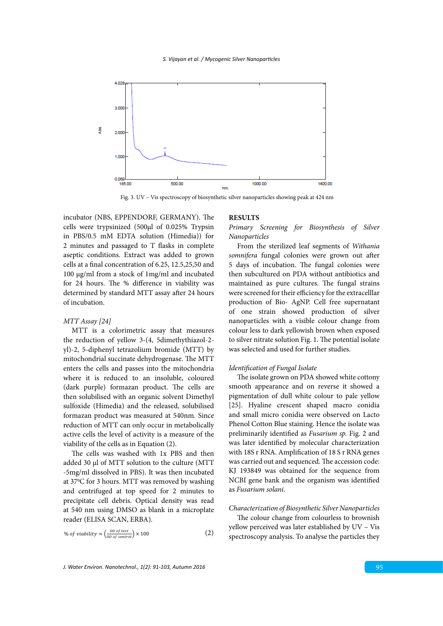

Fig. 3. UV – Vis spectroscopy of biosynthetic silver nanoparticles showing peak at 424 nm

incubator (NBS, EPPENDORF, GERMANY). The RESULTS cells were trypsinized (500µl of 0.025% Trypsin in PBS/0.5 mM EDTA solution (Himedia)) for 2 minutes and passaged to T flasks in complete aseptic conditions. Extract was added to grown cells at a final concentration of 6.25, 12.5,25,50 and 100 µg/ml from a stock of 1mg/ml and incubated for 24 hours. The % difference in viability was determined by standard MTT assay after 24 hours of incubation.

# *MTT Assay [24]*

MTT is a colorimetric assay that measures the reduction of yellow 3-(4, 5dimethythiazol-2 yl)-2, 5-diphenyl tetrazolium bromide (MTT) by mitochondrial succinate dehydrogenase. The MTT enters the cells and passes into the mitochondria where it is reduced to an insoluble, coloured (dark purple) formazan product. The cells are then solubilised with an organic solvent Dimethyl sulfoxide (Himedia) and the released, solubilised formazan product was measured at 540nm. Since reduction of MTT can only occur in metabolically active cells the level of activity is a measure of the viability of the cells as in Equation (2).

The cells was washed with 1x PBS and then added 30 µl of MTT solution to the culture (MTT -5mg/ml dissolved in PBS). It was then incubated at 37°C for 3 hours. MTT was removed by washing and centrifuged at top speed for 2 minutes to precipitate cell debris. Optical density was read at 540 nm using DMSO as blank in a microplate reader (ELISA SCAN, ERBA).

% of viability = 
$$
\left(\frac{OD\ of\ test}{OD\ of\ control}\right) \times 100
$$
 (2)

# **RESULTS**

*Primary Screening for Biosynthesis of Silver Nanoparticles*

From the sterilized leaf segments of *Withania somnifera* fungal colonies were grown out after 5 days of incubation. The fungal colonies were then subcultured on PDA without antibiotics and maintained as pure cultures. The fungal strains were screened for their efficiency for the extracelllar production of Bio- AgNP. Cell free supernatant of one strain showed production of silver nanoparticles with a visible colour change from colour less to dark yellowish brown when exposed to silver nitrate solution Fig. 1. The potential isolate was selected and used for further studies.

### *Identification of Fungal Isolate*

The isolate grown on PDA showed white cottony smooth appearance and on reverse it showed a pigmentation of dull white colour to pale yellow [25]. Hyaline crescent shaped macro conidia and small micro conidia were observed on Lacto Phenol Cotton Blue staining. Hence the isolate was preliminarily identified as *Fusarium sp.* Fig. 2 and was later identified by molecular characterization with 18S r RNA. Amplification of 18 S r RNA genes was carried out and sequenced. The accession code: KJ 193849 was obtained for the sequence from NCBI gene bank and the organism was identified as *Fusarium solani*.

# *Characterization of Biosynthetic Silver Nanoparticles*

The colour change from colourless to brownish yellow perceived was later established by UV – Vis spectroscopy analysis. To analyse the particles they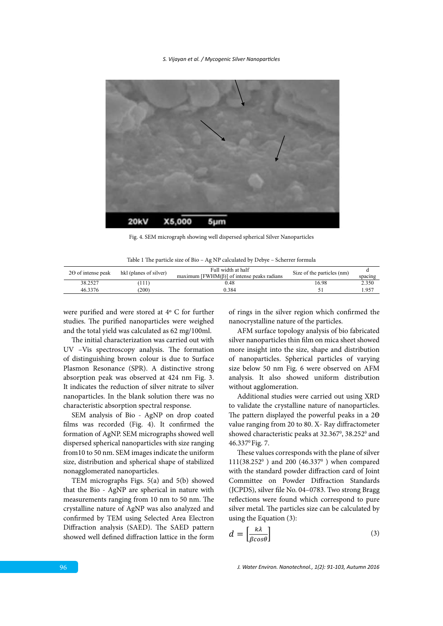

Fig. 4. SEM micrograph showing well dispersed spherical Silver Nanoparticles

|  |  | Table 1 The particle size of Bio - Ag NP calculated by Debye - Scherrer formula |  |
|--|--|---------------------------------------------------------------------------------|--|

| $2\Theta$ of intense peak | hkl (planes of silver) | Full width at half<br>maximum [ $FWHM(\beta)$ ] of intense peaks radians | Size of the particles (nm) | spacing |
|---------------------------|------------------------|--------------------------------------------------------------------------|----------------------------|---------|
| 38.2527                   | 111                    | J.48                                                                     | 16.98                      | 2.350   |
| 46.3376                   | 200                    | 0.384                                                                    |                            | 1.957   |
|                           |                        |                                                                          |                            |         |

were purified and were stored at 4º C for further studies. The purified nanoparticles were weighed and the total yield was calculated as 62 mg/100ml.

The initial characterization was carried out with UV –Vis spectroscopy analysis. The formation of distinguishing brown colour is due to Surface Plasmon Resonance (SPR). A distinctive strong absorption peak was observed at 424 nm Fig. 3. It indicates the reduction of silver nitrate to silver nanoparticles. In the blank solution there was no characteristic absorption spectral response.

SEM analysis of Bio - AgNP on drop coated films was recorded (Fig. 4). It confirmed the formation of AgNP. SEM micrographs showed well dispersed spherical nanoparticles with size ranging from10 to 50 nm. SEM images indicate the uniform size, distribution and spherical shape of stabilized nonagglomerated nanoparticles.

TEM micrographs Figs. 5(a) and 5(b) showed that the Bio - AgNP are spherical in nature with measurements ranging from 10 nm to 50 nm. The crystalline nature of AgNP was also analyzed and confirmed by TEM using Selected Area Electron Diffraction analysis (SAED). The SAED pattern showed well defined diffraction lattice in the form of rings in the silver region which confirmed the nanocrystalline nature of the particles.

AFM surface topology analysis of bio fabricated silver nanoparticles thin film on mica sheet showed more insight into the size, shape and distribution of nanoparticles. Spherical particles of varying size below 50 nm Fig. 6 were observed on AFM analysis. It also showed uniform distribution without agglomeration.

Additional studies were carried out using XRD to validate the crystalline nature of nanoparticles. The pattern displayed the powerful peaks in a 20 value ranging from 20 to 80. X- Ray diffractometer showed characteristic peaks at 32.367<sup>0</sup>, 38.252<sup>0</sup> and 46.3370 Fig. 7.

These values corresponds with the plane of silver 111(38.2520 ) and 200 (46.3370 ) when compared with the standard powder diffraction card of Joint Committee on Powder Diffraction Standards (JCPDS), silver file No. 04–0783. Two strong Bragg reflections were found which correspond to pure silver metal. The particles size can be calculated by using the Equation (3):

$$
d = \left[\frac{k\lambda}{\beta\cos\theta}\right] \tag{3}
$$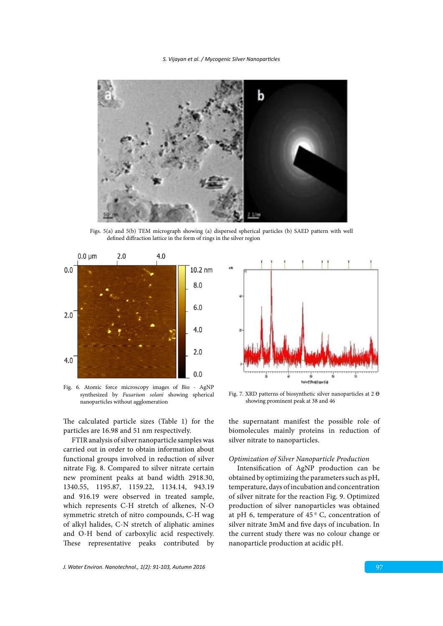

defined diffraction lattice in the form of rings in the silver region Figs. 5(a) and 5(b) TEM micrograph showing (a) dispersed spherical particles (b) SAED pattern with well



Fig. 6 Atomic force microscopy images of Bio - AgNP synthesized by *Fusarium solani* synthesized by *Fusarium solani* showing spherical nanoparticles without agglomeration Fig. 7 Showing prominent peak at 38 and 46 at 38 and 46 at 38 and 46 at 38 and 46 at 38 and 46 at 38 and 46 at 38 and 46 at 38 and 46 at 38 and 46 at 38 and 46 at 38 and 46 at 38 and 46 Fig. 6. Atomic force microscopy images of Bio - AgNP

The calculated particle sizes (Table 1) for the particles are 16.98 and 51 nm respectively.

FTIR analysis of silver nanoparticle samples was carried out in order to obtain information about functional groups involved in reduction of silver nitrate Fig. 8. Compared to silver nitrate certain new prominent peaks at band width 2918.30, 1340.55, 1195.87, 1159.22, 1134.14, 943.19 and 916.19 were observed in treated sample, which represents C-H stretch of alkenes, N-O symmetric stretch of nitro compounds, C-H wag of alkyl halides, C-N stretch of aliphatic amines and O-H bend of carboxylic acid respectively. These representative peaks contributed by



Fig. 7. XRD patterns of biosynthetic silver nanoparticles at 2  $\Theta$ showing prominent peak at 38 and 46

the supernatant manifest the possible role of biomolecules mainly proteins in reduction of silver nitrate to nanoparticles.

# *Optimization of Silver Nanoparticle Production*

Intensification of AgNP production can be obtained by optimizing the parameters such as pH, temperature, days of incubation and concentration of silver nitrate for the reaction Fig. 9. Optimized production of silver nanoparticles was obtained at pH 6, temperature of  $45<sup>o</sup>$  C, concentration of silver nitrate 3mM and five days of incubation. In the current study there was no colour change or nanoparticle production at acidic pH.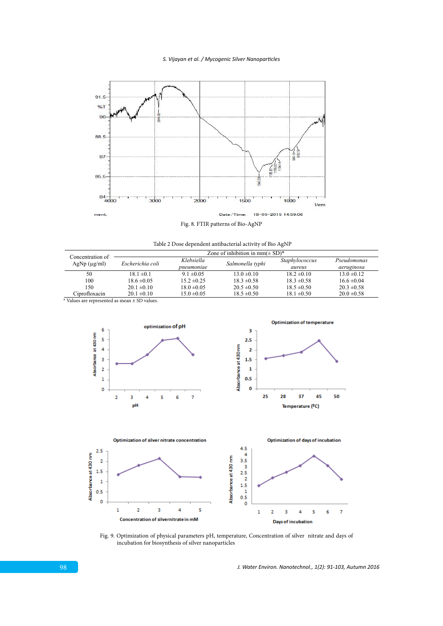

Fig. 8. FTIR patterns of Bio-AgNP

Table 2 Dose dependent antibacterial activity of Bio AgNP

| Concentration of  | Zone of inhibition in $mm(\pm SD)^*$ |                 |                  |                 |                 |
|-------------------|--------------------------------------|-----------------|------------------|-----------------|-----------------|
| $AgNp (\mu g/ml)$ | Escherichia coli                     | Klebsiella      | Salmonella typhi | Staphylococcus  | Pseudomonas     |
|                   |                                      | pneumoniae      |                  | aureus          | aeruginosa      |
| 50                | $18.1 \pm 0.1$                       | $9.1 \pm 0.05$  | $13.0 \pm 0.10$  | $18.2 \pm 0.10$ | $13.0 \pm 0.12$ |
| 100               | $18.6 \pm 0.05$                      | $15.2 \pm 0.25$ | $18.3 \pm 0.58$  | $18.3 \pm 0.58$ | $16.6 \pm 0.04$ |
| 150               | $20.1 \pm 0.10$                      | $18.0 \pm 0.05$ | $20.5 \pm 0.50$  | $18.5 \pm 0.50$ | $20.3 \pm 0.58$ |
| Ciprofloxacin     | $20.1 \pm 0.10$                      | $15.0 \pm 0.05$ | $18.5 \pm 0.50$  | $18.1 \pm 0.50$ | $20.0 \pm 0.58$ |
|                   |                                      |                 |                  |                 |                 |

\* Values are represented as mean ± SD values.





Figure 9 Optimization of physical parameters physical parameters physical parameters parameters Fig. 9. Optimization of physical parameters pH, temperature, Concentration of silver nitrate and days of incubation for biosynthesis of silver nanoparticles

*J. Water Environ. Nanotechnol., 1(2): 91-103, Autumn 2016*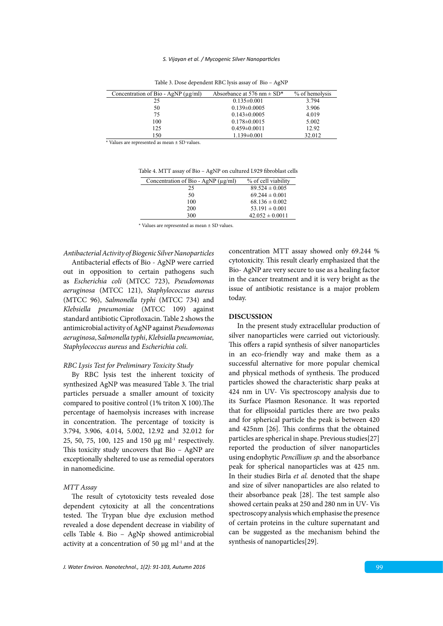| Concentration of Bio - AgNP $(\mu g/ml)$ | Absorbance at 576 nm $\pm$ SD <sup>*</sup> | % of hemolysis |
|------------------------------------------|--------------------------------------------|----------------|
| 25                                       | $0.135 \pm 0.001$                          | 3.794          |
| 50                                       | $0.139 \pm 0.0005$                         | 3.906          |
| 75                                       | $0.143 \pm 0.0005$                         | 4.019          |
| 100                                      | $0.178 \pm 0.0015$                         | 5.002          |
| 125                                      | $0.459 \pm 0.0011$                         | 12.92          |
| 150                                      | $1.139 \pm 0.001$                          | 32.012         |

Table 3. Dose dependent RBC lysis assay of Bio - AgNP

\* Values are represented as mean ± SD values.

Table 4 MTT assay of Bio – AgNP on cultured L929 fibroblast cells Table 4. MTT assay of Bio – AgNP on cultured L929 fibroblast cells

| Concentration of Bio - AgNP $(\mu g/ml)$ | % of cell viability |
|------------------------------------------|---------------------|
| 25                                       | $89.524 \pm 0.005$  |
| 50                                       | $69.244 \pm 0.001$  |
| 100                                      | $68.136 \pm 0.002$  |
| 200                                      | $53.191 \pm 0.001$  |
| 300                                      | $42.052 \pm 0.0011$ |
|                                          |                     |

\* Values are represented as mean ± SD values. \* Values are represented as mean ± SD values.

## *Antibacterial Activity of Biogenic Silver Nanoparticles*

Antibacterial effects of Bio - AgNP were carried out in opposition to certain pathogens such as *Escherichia coli* (MTCC 723), *Pseudomonas aeruginosa* (MTCC 121), *Staphylococcus aureus* (MTCC 96), *Salmonella typhi* (MTCC 734) and *Klebsiella pneumoniae* (MTCC 109) against standard antibiotic Ciprofloxacin. Table 2 shows the antimicrobial activity of AgNP against *Pseudomonas aeruginosa*, *Salmonella typhi*, *Klebsiella pneumoniae, Staphylococcus aureus* and *Escherichia coli*.

#### *RBC Lysis Test for Preliminary Toxicity Study*

By RBC lysis test the inherent toxicity of synthesized AgNP was measured Table 3. The trial particles persuade a smaller amount of toxicity compared to positive control (1% triton X 100).The percentage of haemolysis increases with increase in concentration. The percentage of toxicity is 3.794, 3.906, 4.014, 5.002, 12.92 and 32.012 for 25, 50, 75, 100, 125 and 150  $\mu$ g ml<sup>-1</sup> respectively. This toxicity study uncovers that Bio – AgNP are exceptionally sheltered to use as remedial operators in nanomedicine.

#### *MTT Assay*

The result of cytotoxicity tests revealed dose dependent cytoxicity at all the concentrations tested. The Trypan blue dye exclusion method revealed a dose dependent decrease in viability of cells Table 4. Bio – AgNp showed antimicrobial activity at a concentration of 50  $\mu$ g ml<sup>-1</sup> and at the concentration MTT assay showed only 69.244 % cytotoxicity. This result clearly emphasized that the Bio- AgNP are very secure to use as a healing factor in the cancer treatment and it is very bright as the issue of antibiotic resistance is a major problem today.

### **DISCUSSION**

In the present study extracellular production of silver nanoparticles were carried out victoriously. This offers a rapid synthesis of silver nanoparticles in an eco-friendly way and make them as a successful alternative for more popular chemical and physical methods of synthesis. The produced particles showed the characteristic sharp peaks at 424 nm in UV- Vis spectroscopy analysis due to its Surface Plasmon Resonance. It was reported that for ellipsoidal particles there are two peaks and for spherical particle the peak is between 420 and 425nm [26]. This confirms that the obtained particles are spherical in shape. Previous studies[27] reported the production of silver nanoparticles using endophytic *Pencillium sp.* and the absorbance peak for spherical nanoparticles was at 425 nm. In their studies Birla *et al.* denoted that the shape and size of silver nanoparticles are also related to their absorbance peak [28]. The test sample also showed certain peaks at 250 and 280 nm in UV- Vis spectroscopy analysis which emphasise the presence of certain proteins in the culture supernatant and can be suggested as the mechanism behind the synthesis of nanoparticles[29].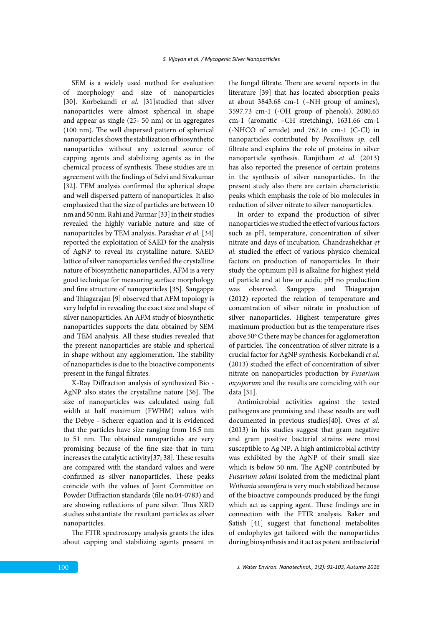SEM is a widely used method for evaluation of morphology and size of nanoparticles [30]. Korbekandi *et al*. [31]studied that silver nanoparticles were almost spherical in shape and appear as single (25- 50 nm) or in aggregates (100 nm). The well dispersed pattern of spherical nanoparticles shows the stabilization of biosynthetic nanoparticles without any external source of capping agents and stabilizing agents as in the chemical process of synthesis. These studies are in agreement with the findings of Selvi and Sivakumar [32]. TEM analysis confirmed the spherical shape and well dispersed pattern of nanoparticles. It also emphasized that the size of particles are between 10 nm and 50 nm. Rahi and Parmar [33] in their studies revealed the highly variable nature and size of nanoparticles by TEM analysis. Parashar *et al.* [34] reported the exploitation of SAED for the analysis of AgNP to reveal its crystalline nature. SAED lattice of silver nanoparticles verified the crystalline nature of biosynthetic nanoparticles. AFM is a very good technique for measuring surface morphology and fine structure of nanoparticles [35]. Sangappa and Thiagarajan [9] observed that AFM topology is very helpful in revealing the exact size and shape of silver nanoparticles. An AFM study of biosynthetic nanoparticles supports the data obtained by SEM and TEM analysis. All these studies revealed that the present nanoparticles are stable and spherical in shape without any agglomeration. The stability of nanoparticles is due to the bioactive components present in the fungal filtrates.

X-Ray Diffraction analysis of synthesized Bio - AgNP also states the crystalline nature [36]. The size of nanoparticles was calculated using full width at half maximum (FWHM) values with the Debye - Scherer equation and it is evidenced that the particles have size ranging from 16.5 nm to 51 nm. The obtained nanoparticles are very promising because of the fine size that in turn increases the catalytic activity[37; 38]. These results are compared with the standard values and were confirmed as silver nanoparticles. These peaks coincide with the values of Joint Committee on Powder Diffraction standards (file no.04-0783) and are showing reflections of pure silver. Thus XRD studies substantiate the resultant particles as silver nanoparticles.

The FTIR spectroscopy analysis grants the idea about capping and stabilizing agents present in the fungal filtrate. There are several reports in the literature [39] that has located absorption peaks at about 3843.68 cm-1 (–NH group of amines), 3597.73 cm-1 (-OH group of phenols), 2080.65 cm-1 (aromatic –CH stretching), 1631.66 cm-1 (-NHCO of amide) and 767.16 cm-1 (C-Cl) in nanoparticles contributed by *Pencillium sp.* cell filtrate and explains the role of proteins in silver nanoparticle synthesis. Ranjitham *et al.* (2013) has also reported the presence of certain proteins in the synthesis of silver nanoparticles. In the present study also there are certain characteristic peaks which emphasis the role of bio molecules in reduction of silver nitrate to silver nanoparticles.

In order to expand the production of silver nanoparticles we studied the effect of various factors such as pH, temperature, concentration of silver nitrate and days of incubation. Chandrashekhar *et al.* studied the effect of various physico chemical factors on production of nanoparticles. In their study the optimum pH is alkaline for highest yield of particle and at low or acidic pH no production was observed. Sangappa and Thiagarajan (2012) reported the relation of temperature and concentration of silver nitrate in production of silver nanoparticles. Highest temperature gives maximum production but as the temperature rises above 50º C there may be chances for agglomeration of particles. The concentration of silver nitrate is a crucial factor for AgNP synthesis. Korbekandi *et al.* (2013) studied the effect of concentration of silver nitrate on nanoparticles production by *Fusarium oxysporum* and the results are coinciding with our data [31].

Antimicrobial activities against the tested pathogens are promising and these results are well documented in previous studies[40]. Oves *et al.*  (2013) in his studies suggest that gram negative and gram positive bacterial strains were most susceptible to Ag NP**.** A high antimicrobial activity was exhibited by the AgNP of their small size which is below 50 nm. The AgNP contributed by *Fusarium solani* isolated from the medicinal plant *Withania somnifera* is very much stabilized because of the bioactive compounds produced by the fungi which act as capping agent. These findings are in connection with the FTIR analysis. Baker and Satish [41] suggest that functional metabolites of endophytes get tailored with the nanoparticles during biosynthesis and it act as potent antibacterial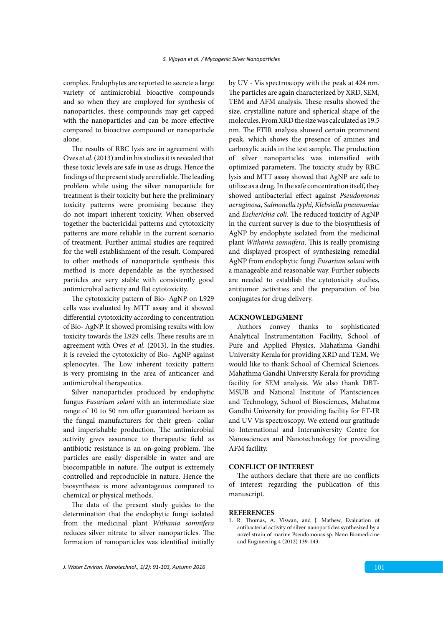complex. Endophytes are reported to secrete a large variety of antimicrobial bioactive compounds and so when they are employed for synthesis of nanoparticles, these compounds may get capped with the nanoparticles and can be more effective compared to bioactive compound or nanoparticle alone.

The results of RBC lysis are in agreement with Oves *et al.* (2013) and in his studies it is revealed that these toxic levels are safe in use as drugs. Hence the findings of the present study are reliable. The leading problem while using the silver nanoparticle for treatment is their toxicity but here the preliminary toxicity patterns were promising because they do not impart inherent toxicity. When observed together the bactericidal patterns and cytotoxicity patterns are more reliable in the current scenario of treatment. Further animal studies are required for the well establishment of the result. Compared to other methods of nanoparticle synthesis this method is more dependable as the synthesised particles are very stable with consistently good antimicrobial activity and flat cytotoxicity.

The cytotoxicity pattern of Bio- AgNP on L929 cells was evaluated by MTT assay and it showed differential cytotoxicity according to concentration of Bio- AgNP. It showed promising results with low toxicity towards the L929 cells. These results are in agreement with Oves *et al.* (2013). In the studies, it is reveled the cytotoxicity of Bio- AgNP against splenocytes. The Low inherent toxicity pattern is very promising in the area of anticancer and antimicrobial therapeutics.

Silver nanoparticles produced by endophytic fungus *Fusarium solani* with an intermediate size range of 10 to 50 nm offer guaranteed horizon as the fungal manufacturers for their green- collar and imperishable production. The antimicrobial activity gives assurance to therapeutic field as antibiotic resistance is an on-going problem. The particles are easily dispersible in water and are biocompatible in nature. The output is extremely controlled and reproducible in nature. Hence the biosynthesis is more advantageous compared to chemical or physical methods.

The data of the present study guides to the determination that the endophytic fungi isolated from the medicinal plant *Withania somnifera* reduces silver nitrate to silver nanoparticles. The formation of nanoparticles was identified initially by UV - Vis spectroscopy with the peak at 424 nm. The particles are again characterized by XRD, SEM, TEM and AFM analysis. These results showed the size, crystalline nature and spherical shape of the molecules. From XRD the size was calculated as 19.5 nm. The FTIR analysis showed certain prominent peak, which shows the presence of amines and carboxylic acids in the test sample. The production of silver nanoparticles was intensified with optimized parameters. The toxicity study by RBC lysis and MTT assay showed that AgNP are safe to utilize as a drug. In the safe concentration itself, they showed antibacterial effect against *Pseudomonas aeruginosa*, *Salmonella typhi*, *Klebsiella pneumoniae* and *Escherichia coli*. The reduced toxicity of AgNP in the current survey is due to the biosynthesis of AgNP by endophyte isolated from the medicinal plant *Withania somnifera*. This is really promising and displayed prospect of synthesizing remedial AgNP from endophytic fungi *Fusarium solani* with a manageable and reasonable way. Further subjects are needed to establish the cytotoxicity studies, antitumor activities and the preparation of bio conjugates for drug delivery.

# **ACKNOWLEDGMENT**

Authors convey thanks to sophisticated Analytical Instrumentation Facility, School of Pure and Applied Physics, Mahathma Gandhi University Kerala for providing XRD and TEM. We would like to thank School of Chemical Sciences, Mahathma Gandhi University Kerala for providing facility for SEM analysis. We also thank DBT-MSUB and National Institute of Plantsciences and Technology, School of Biosciences, Mahatma Gandhi University for providing facility for FT-IR and UV Vis spectroscopy. We extend our gratitude to International and Interuniversity Centre for Nanosciences and Nanotechnology for providing AFM facility.

# **CONFLICT OF INTEREST**

The authors declare that there are no conflicts of interest regarding the publication of this manuscript.

# **REFERENCES**

1. R. Thomas, A. Viswan, and J. Mathew, Evaluation of antibacterial activity of silver nanoparticles synthesized by a novel strain of marine Pseudomonas sp. Nano Biomedicine and Engineering 4 (2012) 139-143.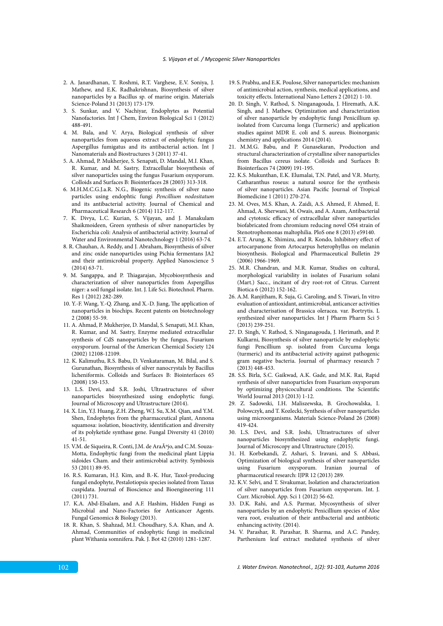- 2. A. Janardhanan, T. Roshmi, R.T. Varghese, E.V. Soniya, J. Mathew, and E.K. Radhakrishnan, Biosynthesis of silver nanoparticles by a Bacillus sp. of marine origin. Materials Science-Poland 31 (2013) 173-179.
- 3. S. Sunkar, and V. Nachiyar, Endophytes as Potential Nanofactories. Int J Chem, Environ Biological Sci 1 (2012) 488-491.
- 4. M. Bala, and V. Arya, Biological synthesis of silver nanoparticles from aqueous extract of endophytic fungus Aspergillus fumigatus and its antibacterial action. Int J Nanomaterials and Biostructures 3 (2011) 37-41.
- 5. A. Ahmad, P. Mukherjee, S. Senapati, D. Mandal, M.I. Khan, R. Kumar, and M. Sastry, Extracellular biosynthesis of silver nanoparticles using the fungus Fusarium oxysporum. Colloids and Surfaces B: Biointerfaces 28 (2003) 313-318.
- 6. M.H.M.C.G.J.a.R. N.G., Biogenic synthesis of silver nano particles using endophtic fungi *Pencillium nodositatum* and its antibacterial activitty. Journal of Chemical and Pharmaceutical Research 6 (2014) 112-117.
- 7. K. Divya, L.C. Kurian, S. Vijayan, and J. Manakulam Shaikmoideen, Green synthesis of silver nanoparticles by Escherichia coli: Analysis of antibacterial activity. Journal of Water and Environmental Nanotechnology 1 (2016) 63-74.
- 8. R. Chauhan, A. Reddy, and J. Abraham, Biosynthesis of silver and zinc oxide nanoparticles using Pichia fermentans JA2 and their antimicrobial property. Applied Nanoscience 5 (2014) 63-71.
- 9. M. Sangappa, and P. Thiagarajan, Mycobiosynthesis and characterization of silver nanoparticles from Aspergillus niger: a soil fungal isolate. Int. J. Life Sci. Biotechnol. Pharm. Res 1 (2012) 282-289.
- 10. Y.-F. Wang, Y.-Q. Zhang, and X.-D. Jiang, The application of nanoparticles in biochips. Recent patents on biotechnology 2 (2008) 55-59.
- 11. A. Ahmad, P. Mukherjee, D. Mandal, S. Senapati, M.I. Khan, R. Kumar, and M. Sastry, Enzyme mediated extracellular synthesis of CdS nanoparticles by the fungus, Fusarium oxysporum. Journal of the American Chemical Society 124 (2002) 12108-12109.
- 12. K. Kalimuthu, R.S. Babu, D. Venkataraman, M. Bilal, and S. Gurunathan, Biosynthesis of silver nanocrystals by Bacillus licheniformis. Colloids and Surfaces B: Biointerfaces 65 (2008) 150-153.
- 13. L.S. Devi, and S.R. Joshi, Ultrastructures of silver nanoparticles biosynthesized using endophytic fungi. Journal of Microscopy and Ultrastructure (2014).
- 14. X. Lin, Y.J. Huang, Z.H. Zheng, W.J. Su, X.M. Qian, and Y.M. Shen, Endophytes from the pharmaceutical plant, Annona squamosa: isolation, bioactivity, identification and diversity of its polyketide synthase gene. Fungal Diversity 41 (2010) 41-51.
- 15. V.M. de Siqueira, R. Conti, J.M. de Araújo, and C.M. Souza-Motta, Endophytic fungi from the medicinal plant Lippia sidoides Cham. and their antimicrobial activity. Symbiosis 53 (2011) 89-95.
- 16. R.S. Kumaran, H.J. Kim, and B.-K. Hur, Taxol-producing fungal endophyte, Pestalotiopsis species isolated from Taxus cuspidata. Journal of Bioscience and Bioengineering 111 (2011) 731.
- 17. K.A. Abd-Elsalam, and A.F. Hashim, Hidden Fungi as Microbial and Nano-Factories for Anticancer Agents. Fungal Genomics & Biology (2013).
- 18. R. Khan, S. Shahzad, M.I. Choudhary, S.A. Khan, and A. Ahmad, Communities of endophytic fungi in medicinal plant Withania somnifera. Pak. J. Bot 42 (2010) 1281-1287.
- 19. S. Prabhu, and E.K. Poulose, Silver nanoparticles: mechanism of antimicrobial action, synthesis, medical applications, and toxicity effects. International Nano Letters 2 (2012) 1-10.
- 20. D. Singh, V. Rathod, S. Ninganagouda, J. Hiremath, A.K. Singh, and J. Mathew, Optimization and characterization of silver nanoparticle by endophytic fungi Penicillium sp. isolated from Curcuma longa (Turmeric) and application studies against MDR E. coli and S. aureus. Bioinorganic chemistry and applications 2014 (2014).
- 21. M.M.G. Babu, and P. Gunasekaran, Production and structural characterization of crystalline silver nanoparticles from Bacillus cereus isolate. Colloids and Surfaces B: Biointerfaces 74 (2009) 191-195.
- 22. K.S. Mukunthan, E.K. Elumalai, T.N. Patel, and V.R. Murty, Catharanthus roseus: a natural source for the synthesis of silver nanoparticles. Asian Pacific Journal of Tropical Biomedicine 1 (2011) 270-274.
- 23. M. Oves, M.S. Khan, A. Zaidi, A.S. Ahmed, F. Ahmed, E. Ahmad, A. Sherwani, M. Owais, and A. Azam, Antibacterial and cytotoxic efficacy of extracellular silver nanoparticles biofabricated from chromium reducing novel OS4 strain of Stenotrophomonas maltophilia. PloS one 8 (2013) e59140.
- 24. E.T. Arung, K. Shimizu, and R. Kondo, Inhibitory effect of artocarpanone from Artocarpus heterophyllus on melanin biosynthesis. Biological and Pharmaceutical Bulletin 29 (2006) 1966-1969.
- 25. M.R. Chandran, and M.R. Kumar, Studies on cultural, morphological variability in isolates of Fusarium solani (Mart.) Sacc., incitant of dry root-rot of Citrus. Current Biotica 6 (2012) 152-162.
- 26. A.M. Ranjitham, R. Suja, G. Caroling, and S. Tiwari, In vitro evaluation of antioxidant, antimicrobial, anticancer activities and characterisation of Brassica oleracea. var. Bortrytis. L synthesized silver nanoparticles. Int J Pharm Pharm Sci 5 (2013) 239-251.
- 27. D. Singh, V. Rathod, S. Ninganagouda, J. Herimath, and P. Kulkarni, Biosynthesis of silver nanoparticle by endophytic fungi Pencillium sp. isolated from Curcuma longa (turmeric) and its antibacterial activity against pathogenic gram negative bacteria. Journal of pharmacy research 7 (2013) 448-453.
- 28. S.S. Birla, S.C. Gaikwad, A.K. Gade, and M.K. Rai, Rapid synthesis of silver nanoparticles from Fusarium oxysporum by optimizing physicocultural conditions. The Scientific World Journal 2013 (2013) 1-12.
- 29. Z. Sadowski, I.H. Maliszewska, B. Grochowalska, I. Polowczyk, and T. Kozlecki, Synthesis of silver nanoparticles using microorganisms. Materials Science-Poland 26 (2008) 419-424.
- 30. L.S. Devi, and S.R. Joshi, Ultrastructures of silver nanoparticles biosynthesized using endophytic fungi. Journal of Microscopy and Ultrastructure (2015).
- 31. H. Korbekandi, Z. Ashari, S. Iravani, and S. Abbasi, Optimization of biological synthesis of silver nanoparticles using Fusarium oxysporum. Iranian journal of pharmaceutical research: IJPR 12 (2013) 289.
- 32. K.V. Selvi, and T. Sivakumar, Isolation and characterization of silver nanoparticles from Fusarium oxysporum. Int. J. Curr. Microbiol. App. Sci 1 (2012) 56-62.
- 33. D.K. Rahi, and A.S. Parmar, Mycosynthesis of silver nanoparticles by an endophytic Penicillium species of Aloe vera root, evaluation of their antibacterial and antibiotic enhancing activity. (2014).
- 34. V. Parashar, R. Parashar, B. Sharma, and A.C. Pandey, Parthenium leaf extract mediated synthesis of silver